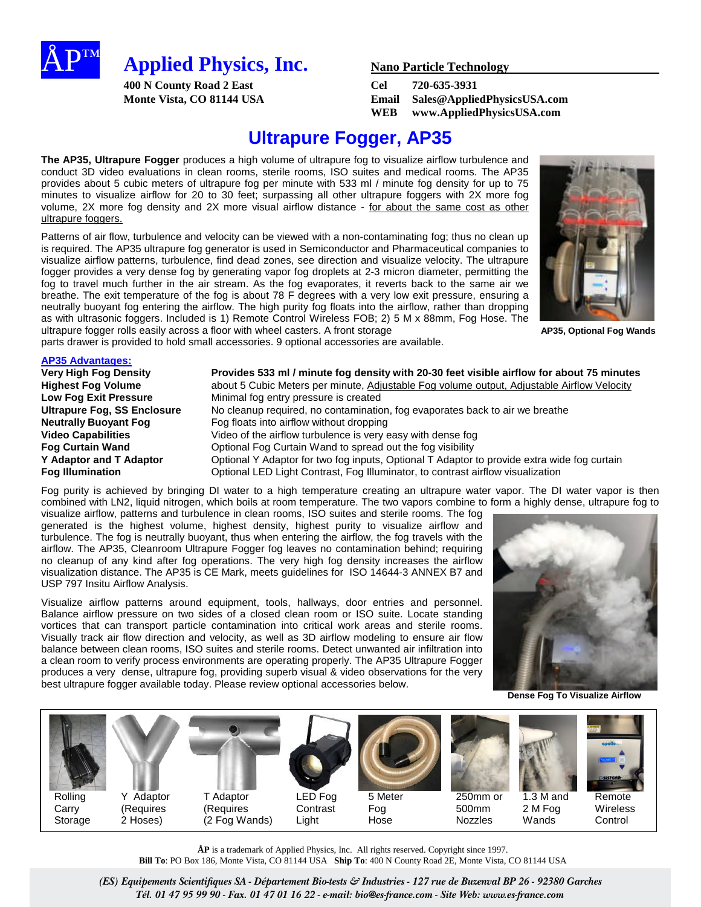

**400 N County Road 2 East Cel 720-635-3931**

**Monte Vista, CO 81144 USA Email Sales@AppliedPhysicsUSA.com WEB www.AppliedPhysicsUSA.com**

# **Ultrapure Fogger, AP35**

**The AP35, Ultrapure Fogger** produces a high volume of ultrapure fog to visualize airflow turbulence and conduct 3D video evaluations in clean rooms, sterile rooms, ISO suites and medical rooms. The AP35 provides about 5 cubic meters of ultrapure fog per minute with 533 ml / minute fog density for up to 75 minutes to visualize airflow for 20 to 30 feet; surpassing all other ultrapure foggers with 2X more fog volume, 2X more fog density and 2X more visual airflow distance - for about the same cost as other ultrapure foggers.

Patterns of air flow, turbulence and velocity can be viewed with a non-contaminating fog; thus no clean up is required. The AP35 ultrapure fog generator is used in Semiconductor and Pharmaceutical companies to visualize airflow patterns, turbulence, find dead zones, see direction and visualize velocity. The ultrapure fogger provides a very dense fog by generating vapor fog droplets at 2-3 micron diameter, permitting the fog to travel much further in the air stream. As the fog evaporates, it reverts back to the same air we breathe. The exit temperature of the fog is about 78 F degrees with a very low exit pressure, ensuring a neutrally buoyant fog entering the airflow. The high purity fog floats into the airflow, rather than dropping as with ultrasonic foggers. Included is 1) Remote Control Wireless FOB; 2) 5 M x 88mm, Fog Hose. The ultrapure fogger rolls easily across a floor with wheel casters. A front storage **AP35, Optional Fog Wands** 



parts drawer is provided to hold small accessories. 9 optional accessories are available.

### **AP35 Advantages:**

| <b>Very High Fog Density</b>       | Provides 533 ml / minute fog density with 20-30 feet visible airflow for about 75 minutes   |
|------------------------------------|---------------------------------------------------------------------------------------------|
| <b>Highest Fog Volume</b>          | about 5 Cubic Meters per minute, Adjustable Fog volume output, Adjustable Airflow Velocity  |
| <b>Low Fog Exit Pressure</b>       | Minimal fog entry pressure is created                                                       |
| <b>Ultrapure Fog, SS Enclosure</b> | No cleanup required, no contamination, fog evaporates back to air we breathe                |
| <b>Neutrally Buoyant Fog.</b>      | Fog floats into airflow without dropping                                                    |
| <b>Video Capabilities</b>          | Video of the airflow turbulence is very easy with dense fog                                 |
| <b>Fog Curtain Wand</b>            | Optional Fog Curtain Wand to spread out the fog visibility                                  |
| Y Adaptor and T Adaptor            | Optional Y Adaptor for two fog inputs, Optional T Adaptor to provide extra wide fog curtain |
| <b>Fog Illumination</b>            | Optional LED Light Contrast, Fog Illuminator, to contrast airflow visualization             |

Fog purity is achieved by bringing DI water to a high temperature creating an ultrapure water vapor. The DI water vapor is then combined with LN2, liquid nitrogen, which boils at room temperature. The two vapors combine to form a highly dense, ultrapure fog to

visualize airflow, patterns and turbulence in clean rooms, ISO suites and sterile rooms. The fog generated is the highest volume, highest density, highest purity to visualize airflow and turbulence. The fog is neutrally buoyant, thus when entering the airflow, the fog travels with the airflow. The AP35, Cleanroom Ultrapure Fogger fog leaves no contamination behind; requiring no cleanup of any kind after fog operations. The very high fog density increases the airflow visualization distance. The AP35 is CE Mark, meets guidelines for ISO 14644-3 ANNEX B7 and USP 797 Insitu Airflow Analysis.

Visualize airflow patterns around equipment, tools, hallways, door entries and personnel. Balance airflow pressure on two sides of a closed clean room or ISO suite. Locate standing vortices that can transport particle contamination into critical work areas and sterile rooms. Visually track air flow direction and velocity, as well as 3D airflow modeling to ensure air flow balance between clean rooms, ISO suites and sterile rooms. Detect unwanted air infiltration into a clean room to verify process environments are operating properly. The AP35 Ultrapure Fogger produces a very dense, ultrapure fog, providing superb visual & video observations for the very best ultrapure fogger available today. Please review optional accessories below.



**Dense Fog To Visualize Airflow**



**ÅP** is a trademark of Applied Physics, Inc. All rights reserved. Copyright since 1997. **Bill To**: PO Box 186, Monte Vista, CO 81144 USA **Ship To**: 400 N County Road 2E, Monte Vista, CO 81144 USA

*(ES) Equipements Scientifiques SA - Département Bio-tests & Industries - 127 rue de Buzenval BP 26 - 92380 Garches Tél. 01 47 95 99 90 - Fax. 01 47 01 16 22 - e-mail: bio@es-france.com - Site Web: www.es-france.com*